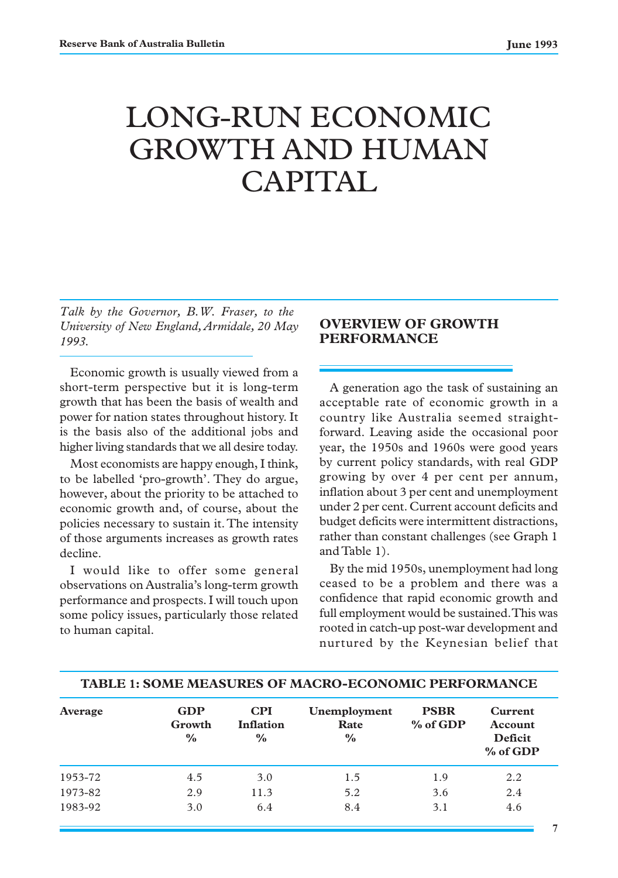# LONG-RUN ECONOMIC GROWTH AND HUMAN CAPITAL

*Talk by the Governor, B.W. Fraser, to the University of New England, Armidale, 20 May 1993.*

Economic growth is usually viewed from a short-term perspective but it is long-term growth that has been the basis of wealth and power for nation states throughout history. It is the basis also of the additional jobs and higher living standards that we all desire today.

Most economists are happy enough, I think, to be labelled 'pro-growth'. They do argue, however, about the priority to be attached to economic growth and, of course, about the policies necessary to sustain it. The intensity of those arguments increases as growth rates decline.

I would like to offer some general observations on Australia's long-term growth performance and prospects. I will touch upon some policy issues, particularly those related to human capital.

# **OVERVIEW OF GROWTH PERFORMANCE**

A generation ago the task of sustaining an acceptable rate of economic growth in a country like Australia seemed straightforward. Leaving aside the occasional poor year, the 1950s and 1960s were good years by current policy standards, with real GDP growing by over 4 per cent per annum, inflation about 3 per cent and unemployment under 2 per cent. Current account deficits and budget deficits were intermittent distractions, rather than constant challenges (see Graph 1 and Table 1).

By the mid 1950s, unemployment had long ceased to be a problem and there was a confidence that rapid economic growth and full employment would be sustained. This was rooted in catch-up post-war development and nurtured by the Keynesian belief that

| Average | <b>GDP</b><br>Growth<br>$\%$ | <b>CPI</b><br><b>Inflation</b><br>$\frac{6}{9}$ | Unemployment<br>Rate<br>$\frac{6}{6}$ | <b>PSBR</b><br>% of GDP | Current<br>Account<br>Deficit<br>% of GDP |
|---------|------------------------------|-------------------------------------------------|---------------------------------------|-------------------------|-------------------------------------------|
| 1953-72 | 4.5                          | 3.0                                             | 1.5                                   | 1.9                     | 2.2                                       |
| 1973-82 | 2.9                          | 11.3                                            | 5.2                                   | 3.6                     | 2.4                                       |
| 1983-92 | 3.0                          | 6.4                                             | 8.4                                   | 3.1                     | 4.6                                       |

**TABLE 1: SOME MEASURES OF MACRO-ECONOMIC PERFORMANCE**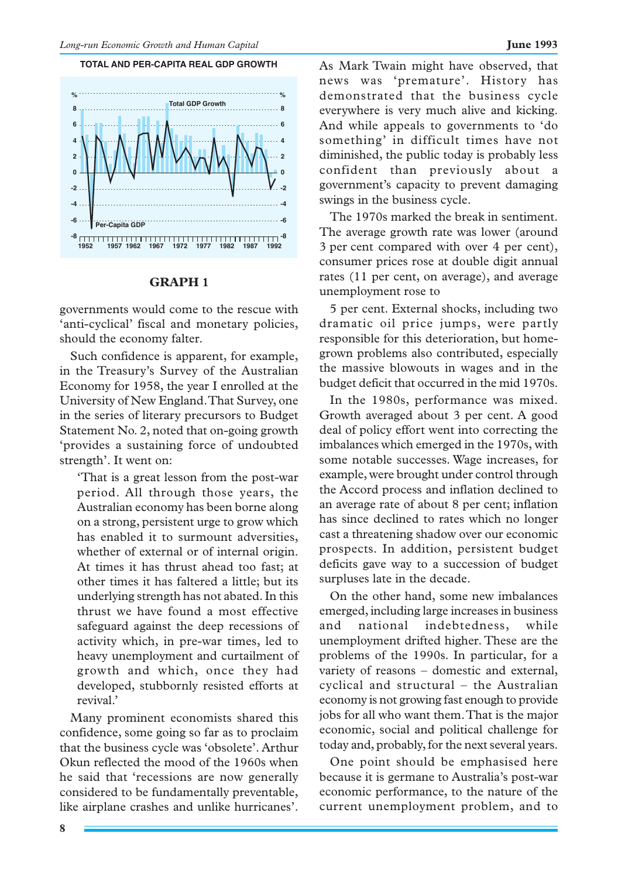#### **TOTAL AND PER-CAPITA REAL GDP GROWTH**



#### **GRAPH 1**

governments would come to the rescue with 'anti-cyclical' fiscal and monetary policies, should the economy falter.

Such confidence is apparent, for example, in the Treasury's Survey of the Australian Economy for 1958, the year I enrolled at the University of New England. That Survey, one in the series of literary precursors to Budget Statement No. 2, noted that on-going growth 'provides a sustaining force of undoubted strength'. It went on:

'That is a great lesson from the post-war period. All through those years, the Australian economy has been borne along on a strong, persistent urge to grow which has enabled it to surmount adversities, whether of external or of internal origin. At times it has thrust ahead too fast; at other times it has faltered a little; but its underlying strength has not abated. In this thrust we have found a most effective safeguard against the deep recessions of activity which, in pre-war times, led to heavy unemployment and curtailment of growth and which, once they had developed, stubbornly resisted efforts at revival.'

Many prominent economists shared this confidence, some going so far as to proclaim that the business cycle was 'obsolete'. Arthur Okun reflected the mood of the 1960s when he said that 'recessions are now generally considered to be fundamentally preventable, like airplane crashes and unlike hurricanes'.

As Mark Twain might have observed, that news was 'premature'. History has demonstrated that the business cycle everywhere is very much alive and kicking. And while appeals to governments to 'do something' in difficult times have not diminished, the public today is probably less confident than previously about a government's capacity to prevent damaging swings in the business cycle.

The 1970s marked the break in sentiment. The average growth rate was lower (around 3 per cent compared with over 4 per cent), consumer prices rose at double digit annual rates (11 per cent, on average), and average unemployment rose to

5 per cent. External shocks, including two dramatic oil price jumps, were partly responsible for this deterioration, but homegrown problems also contributed, especially the massive blowouts in wages and in the budget deficit that occurred in the mid 1970s.

In the 1980s, performance was mixed. Growth averaged about 3 per cent. A good deal of policy effort went into correcting the imbalances which emerged in the 1970s, with some notable successes. Wage increases, for example, were brought under control through the Accord process and inflation declined to an average rate of about 8 per cent; inflation has since declined to rates which no longer cast a threatening shadow over our economic prospects. In addition, persistent budget deficits gave way to a succession of budget surpluses late in the decade.

On the other hand, some new imbalances emerged, including large increases in business and national indebtedness, while unemployment drifted higher. These are the problems of the 1990s. In particular, for a variety of reasons – domestic and external, cyclical and structural – the Australian economy is not growing fast enough to provide jobs for all who want them. That is the major economic, social and political challenge for today and, probably, for the next several years.

One point should be emphasised here because it is germane to Australia's post-war economic performance, to the nature of the current unemployment problem, and to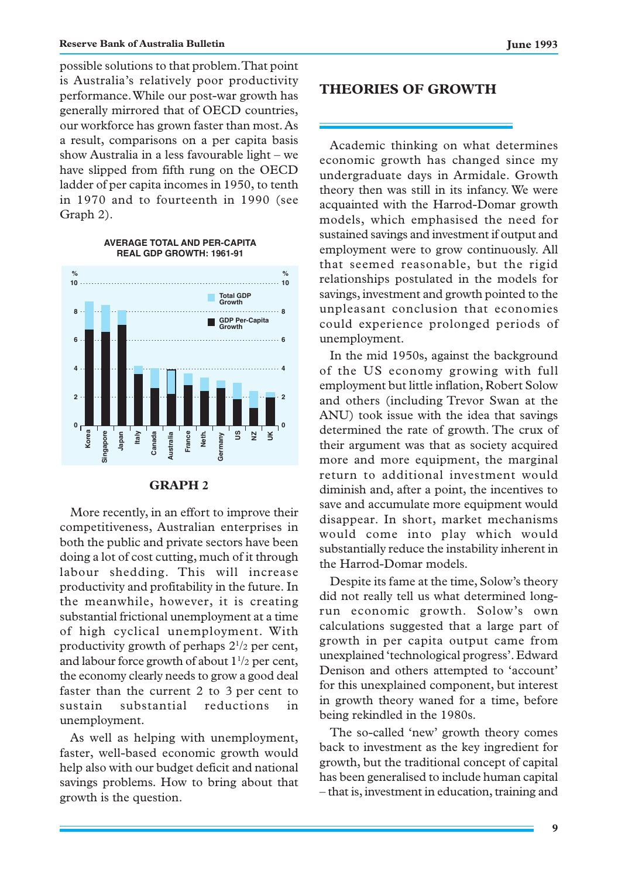possible solutions to that problem. That point is Australia's relatively poor productivity performance. While our post-war growth has generally mirrored that of OECD countries, our workforce has grown faster than most. As a result, comparisons on a per capita basis show Australia in a less favourable light – we have slipped from fifth rung on the OECD ladder of per capita incomes in 1950, to tenth in 1970 and to fourteenth in 1990 (see Graph 2).

> **AVERAGE TOTAL AND PER-CAPITA REAL GDP GROWTH: 1961-91**

#### **0 2 4 6 8 10 10 0 2 4 6 8 Korea Singapore Japan Italy Canada Australia France Neth. Germany US NZ UK % % GDP Per-Capita Growth Total GDP Growth**

#### **GRAPH 2**

More recently, in an effort to improve their competitiveness, Australian enterprises in both the public and private sectors have been doing a lot of cost cutting, much of it through labour shedding. This will increase productivity and profitability in the future. In the meanwhile, however, it is creating substantial frictional unemployment at a time of high cyclical unemployment. With productivity growth of perhaps 21 /2 per cent, and labour force growth of about  $1\frac{1}{2}$  per cent, the economy clearly needs to grow a good deal faster than the current 2 to 3 per cent to sustain substantial reductions in unemployment.

As well as helping with unemployment, faster, well-based economic growth would help also with our budget deficit and national savings problems. How to bring about that growth is the question.

## **THEORIES OF GROWTH**

Academic thinking on what determines economic growth has changed since my undergraduate days in Armidale. Growth theory then was still in its infancy. We were acquainted with the Harrod-Domar growth models, which emphasised the need for sustained savings and investment if output and employment were to grow continuously. All that seemed reasonable, but the rigid relationships postulated in the models for savings, investment and growth pointed to the unpleasant conclusion that economies could experience prolonged periods of unemployment.

In the mid 1950s, against the background of the US economy growing with full employment but little inflation, Robert Solow and others (including Trevor Swan at the ANU) took issue with the idea that savings determined the rate of growth. The crux of their argument was that as society acquired more and more equipment, the marginal return to additional investment would diminish and, after a point, the incentives to save and accumulate more equipment would disappear. In short, market mechanisms would come into play which would substantially reduce the instability inherent in the Harrod-Domar models.

Despite its fame at the time, Solow's theory did not really tell us what determined longrun economic growth. Solow's own calculations suggested that a large part of growth in per capita output came from unexplained 'technological progress'. Edward Denison and others attempted to 'account' for this unexplained component, but interest in growth theory waned for a time, before being rekindled in the 1980s.

The so-called 'new' growth theory comes back to investment as the key ingredient for growth, but the traditional concept of capital has been generalised to include human capital – that is, investment in education, training and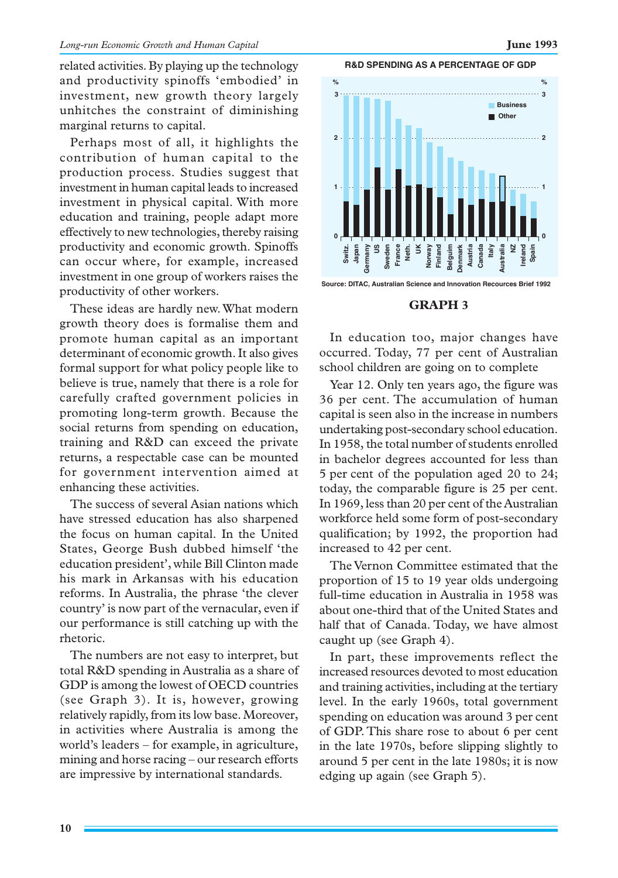related activities. By playing up the technology and productivity spinoffs 'embodied' in investment, new growth theory largely unhitches the constraint of diminishing marginal returns to capital.

Perhaps most of all, it highlights the contribution of human capital to the production process. Studies suggest that investment in human capital leads to increased investment in physical capital. With more education and training, people adapt more effectively to new technologies, thereby raising productivity and economic growth. Spinoffs can occur where, for example, increased investment in one group of workers raises the productivity of other workers.

These ideas are hardly new. What modern growth theory does is formalise them and promote human capital as an important determinant of economic growth. It also gives formal support for what policy people like to believe is true, namely that there is a role for carefully crafted government policies in promoting long-term growth. Because the social returns from spending on education, training and R&D can exceed the private returns, a respectable case can be mounted for government intervention aimed at enhancing these activities.

The success of several Asian nations which have stressed education has also sharpened the focus on human capital. In the United States, George Bush dubbed himself 'the education president', while Bill Clinton made his mark in Arkansas with his education reforms. In Australia, the phrase 'the clever country' is now part of the vernacular, even if our performance is still catching up with the rhetoric.

The numbers are not easy to interpret, but total R&D spending in Australia as a share of GDP is among the lowest of OECD countries (see Graph 3). It is, however, growing relatively rapidly, from its low base. Moreover, in activities where Australia is among the world's leaders – for example, in agriculture, mining and horse racing – our research efforts are impressive by international standards.

**R&D SPENDING AS A PERCENTAGE OF GDP**



#### **GRAPH 3**

In education too, major changes have occurred. Today, 77 per cent of Australian school children are going on to complete

Year 12. Only ten years ago, the figure was 36 per cent. The accumulation of human capital is seen also in the increase in numbers undertaking post-secondary school education. In 1958, the total number of students enrolled in bachelor degrees accounted for less than 5 per cent of the population aged 20 to 24; today, the comparable figure is 25 per cent. In 1969, less than 20 per cent of the Australian workforce held some form of post-secondary qualification; by 1992, the proportion had increased to 42 per cent.

The Vernon Committee estimated that the proportion of 15 to 19 year olds undergoing full-time education in Australia in 1958 was about one-third that of the United States and half that of Canada. Today, we have almost caught up (see Graph 4).

In part, these improvements reflect the increased resources devoted to most education and training activities, including at the tertiary level. In the early 1960s, total government spending on education was around 3 per cent of GDP. This share rose to about 6 per cent in the late 1970s, before slipping slightly to around 5 per cent in the late 1980s; it is now edging up again (see Graph 5).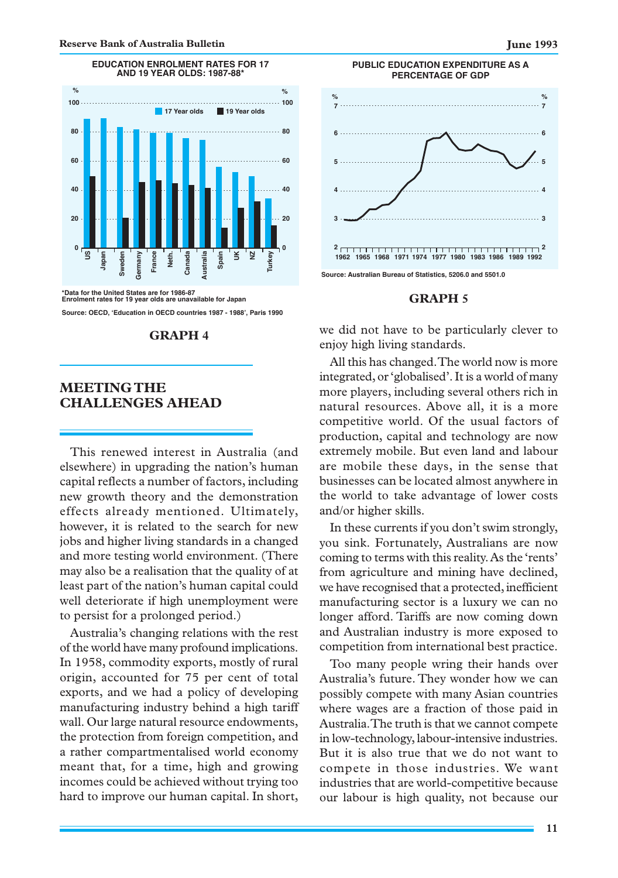

**EDUCATION ENROLMENT RATES FOR 17**

**\*Data for the United States are for 1986-87 Enrolment rates for 19 year olds are unavailable for Japan**

#### **Source: OECD, ëEducation in OECD countries 1987 - 1988í, Paris 1990**

#### **GRAPH 4**

### **MEETING THE CHALLENGES AHEAD**

This renewed interest in Australia (and elsewhere) in upgrading the nation's human capital reflects a number of factors, including new growth theory and the demonstration effects already mentioned. Ultimately, however, it is related to the search for new jobs and higher living standards in a changed and more testing world environment. (There may also be a realisation that the quality of at least part of the nation's human capital could well deteriorate if high unemployment were to persist for a prolonged period.)

Australia's changing relations with the rest of the world have many profound implications. In 1958, commodity exports, mostly of rural origin, accounted for 75 per cent of total exports, and we had a policy of developing manufacturing industry behind a high tariff wall. Our large natural resource endowments, the protection from foreign competition, and a rather compartmentalised world economy meant that, for a time, high and growing incomes could be achieved without trying too hard to improve our human capital. In short,



**Source: Australian Bureau of Statistics, 5206.0 and 5501.0**

#### **GRAPH 5**

we did not have to be particularly clever to enjoy high living standards.

All this has changed. The world now is more integrated, or 'globalised'. It is a world of many more players, including several others rich in natural resources. Above all, it is a more competitive world. Of the usual factors of production, capital and technology are now extremely mobile. But even land and labour are mobile these days, in the sense that businesses can be located almost anywhere in the world to take advantage of lower costs and/or higher skills.

In these currents if you don't swim strongly, you sink. Fortunately, Australians are now coming to terms with this reality. As the 'rents' from agriculture and mining have declined, we have recognised that a protected, inefficient manufacturing sector is a luxury we can no longer afford. Tariffs are now coming down and Australian industry is more exposed to competition from international best practice.

Too many people wring their hands over Australia's future. They wonder how we can possibly compete with many Asian countries where wages are a fraction of those paid in Australia. The truth is that we cannot compete in low-technology, labour-intensive industries. But it is also true that we do not want to compete in those industries. We want industries that are world-competitive because our labour is high quality, not because our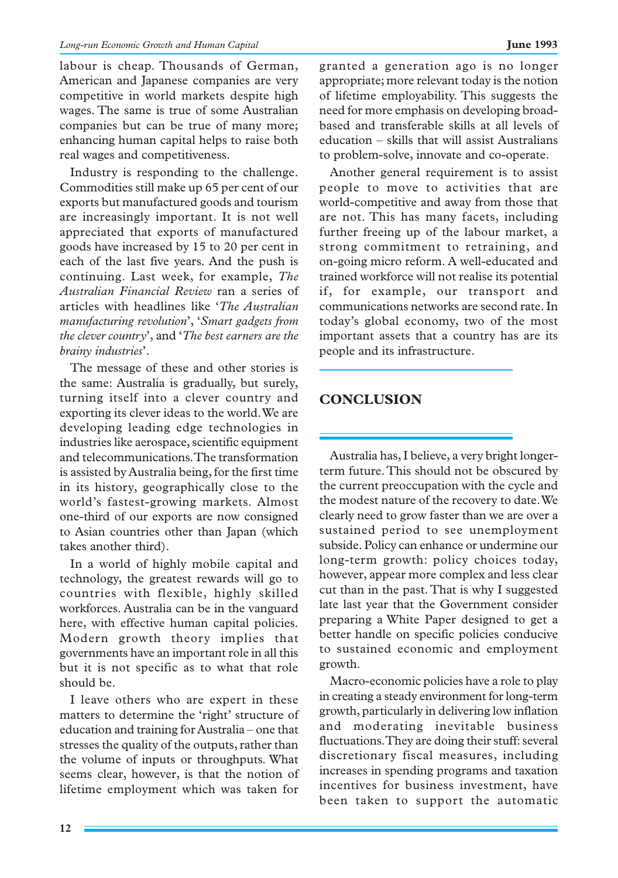labour is cheap. Thousands of German, American and Japanese companies are very competitive in world markets despite high wages. The same is true of some Australian companies but can be true of many more; enhancing human capital helps to raise both real wages and competitiveness.

Industry is responding to the challenge. Commodities still make up 65 per cent of our exports but manufactured goods and tourism are increasingly important. It is not well appreciated that exports of manufactured goods have increased by 15 to 20 per cent in each of the last five years. And the push is continuing. Last week, for example, *The Australian Financial Review* ran a series of articles with headlines like '*The Australian manufacturing revolution*', '*Smart gadgets from the clever country*', and '*The best earners are the brainy industries*'.

The message of these and other stories is the same: Australia is gradually, but surely, turning itself into a clever country and exporting its clever ideas to the world. We are developing leading edge technologies in industries like aerospace, scientific equipment and telecommunications. The transformation is assisted by Australia being, for the first time in its history, geographically close to the world's fastest-growing markets. Almost one-third of our exports are now consigned to Asian countries other than Japan (which takes another third).

In a world of highly mobile capital and technology, the greatest rewards will go to countries with flexible, highly skilled workforces. Australia can be in the vanguard here, with effective human capital policies. Modern growth theory implies that governments have an important role in all this but it is not specific as to what that role should be.

I leave others who are expert in these matters to determine the 'right' structure of education and training for Australia – one that stresses the quality of the outputs, rather than the volume of inputs or throughputs. What seems clear, however, is that the notion of lifetime employment which was taken for granted a generation ago is no longer appropriate; more relevant today is the notion of lifetime employability. This suggests the need for more emphasis on developing broadbased and transferable skills at all levels of education – skills that will assist Australians to problem-solve, innovate and co-operate.

Another general requirement is to assist people to move to activities that are world-competitive and away from those that are not. This has many facets, including further freeing up of the labour market, a strong commitment to retraining, and on-going micro reform. A well-educated and trained workforce will not realise its potential if, for example, our transport and communications networks are second rate. In today's global economy, two of the most important assets that a country has are its people and its infrastructure.

# **CONCLUSION**

Australia has, I believe, a very bright longerterm future. This should not be obscured by the current preoccupation with the cycle and the modest nature of the recovery to date. We clearly need to grow faster than we are over a sustained period to see unemployment subside. Policy can enhance or undermine our long-term growth: policy choices today, however, appear more complex and less clear cut than in the past. That is why I suggested late last year that the Government consider preparing a White Paper designed to get a better handle on specific policies conducive to sustained economic and employment growth.

Macro-economic policies have a role to play in creating a steady environment for long-term growth, particularly in delivering low inflation and moderating inevitable business fluctuations. They are doing their stuff: several discretionary fiscal measures, including increases in spending programs and taxation incentives for business investment, have been taken to support the automatic